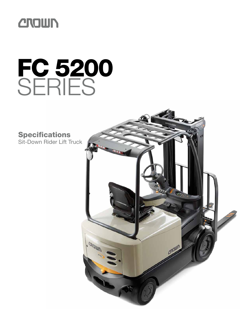

# FC 5200 **SERIES**

**Specifications** Sit-Down Rider Lift Truck

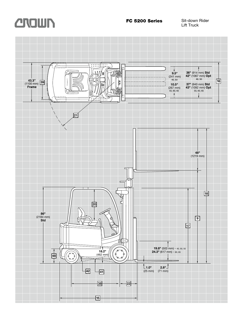

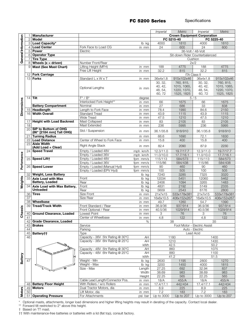|                     |                |                                          |                                     |                    | <i>Imperial</i>   | Metric                             | <i>Imperial</i>              | <b>Metric</b> |
|---------------------|----------------|------------------------------------------|-------------------------------------|--------------------|-------------------|------------------------------------|------------------------------|---------------|
|                     |                | <b>Manufacturer</b>                      |                                     |                    |                   | <b>Crown Equipment Corporation</b> |                              |               |
|                     | $\overline{2}$ | <b>Model</b>                             |                                     |                    |                   | FC 5215-40                         |                              | FC 5225-40    |
|                     |                | 3 Load Capacity*                         |                                     | lb kg              | 4000              | 1810                               | 4000                         | 1810          |
|                     |                | 4 Load Center                            | Fork Face to Load CG                | in mm              | 24                | 600                                | 24                           | 600           |
|                     |                | 5 Power                                  | Electric                            |                    |                   |                                    | 36-Volt / 48-Volt            |               |
| General Information | 6              | <b>Operator Type</b>                     |                                     |                    |                   | Sit-down Rider Counterbalanced     |                              |               |
|                     |                | <b>Tire Type</b>                         |                                     |                    |                   |                                    | Cushion                      |               |
|                     | 8              | Wheels $(x =$ driven)                    | Number Front/Rear                   |                    |                   |                                    | 2x/2                         |               |
|                     | 9              | <b>Mast (See Mast Chart)</b>             | Lifting Height (MFH)                | in mm              | 188               | 4775                               | 188                          | 4775          |
|                     |                |                                          | Free Lift Height                    | in mm              | 32.2              | 815                                | 32.2                         | 815           |
|                     | 12             | <b>Fork Carriage</b>                     |                                     |                    |                   |                                    | <b>ITA Class II</b>          |               |
|                     | 13             | <b>Forks</b>                             | Standard L x W x T                  | in mm              | 36x4x1.8          | 915x102x46                         | 36x4x1.8                     | 915x102x46    |
|                     |                |                                          |                                     |                    | 30, 32,           | 760, 815.                          | 30, 32,                      | 760, 815,     |
|                     |                |                                          | Optional Lengths                    |                    | 40, 42,           | 1015, 1065,                        | 40, 42,                      | 1015, 1065,   |
|                     |                |                                          |                                     | in mm              | 48, 54,           | 1220, 1370,                        | 48, 54,                      | 1220, 1370,   |
|                     |                |                                          |                                     |                    | 60, 72            | 1525, 1825                         | 60, 72                       | 1525, 1825    |
|                     | 14             | Tilt                                     | $\overline{F^{\circ}/B^{\circ}}$    | degree             |                   |                                    | 5/5                          |               |
| <b>Dimensions</b>   |                |                                          | Interlocked Fork Height**           | in mm              | 66                | 1675                               | 66                           | 1675          |
|                     |                | <b>Battery Compartment</b>               | Nominal                             | in mm              | 27                | 686                                | 33                           | 838           |
|                     | 15             | <b>Headlength</b>                        | Length to Fork Face                 | in mm              | 78.4              | 1990                               | 84.6                         | 2150          |
|                     | 16             | <b>Width Overall</b>                     | <b>Standard Tread</b>               | in mm              | 43.9              | 1115                               | 43.9                         | 1115          |
|                     |                |                                          | Wide Tread                          | in mm              | 47.5              | 1210                               | 47.5                         | 1210          |
|                     | 17             | <b>Height with Load Backrest</b>         | Mast Collapsed                      | in mm              | 83                | 2105                               | 83                           | 2105          |
|                     | 18             |                                          | Mast Extended                       | in mm              | 236               | 5995                               | 236                          | 5995          |
|                     | 20             | SIP to Bottom of OHG                     | Std / Suspension                    |                    | 36.1/35.8         | 918/910                            | 36.1/35.8                    | 918/910       |
|                     |                | (86" [2184 mm] Tall OHG)                 |                                     | in mm              |                   |                                    |                              |               |
|                     | 21             | <b>Turning Radius</b>                    |                                     | in mm              | 66.6              | 1690                               | 72.1                         | 1830          |
|                     | 22             | <b>Load Distance</b>                     | Center of Wheel to Fork Face        | in mm              | 15.8              | 400                                | 15.8                         | 400           |
|                     | 23             | <b>Aisle Width</b><br>(Add Load + Clear) | Right Angle Stack                   | in mm              | 82.4              | 2090                               | 87.9                         | 2230          |
|                     | 24             | <b>Speed Travel</b>                      | Empty / Loaded 48V                  | mph km/h           | 12.3/11.0         | 19.7/17.7                          | 12.3/11.0                    | 19.7/17.7     |
|                     |                |                                          | Empty / Loaded 36V                  | mph km/h           | 11.0/10.0         | 17.7/16.1                          | 11.0/10.0                    | 17.7/16.1     |
|                     | 25             | <b>Speed Lift†</b>                       | Empty / Loaded 48V                  | fpm mm/s           | 115/113           | 584/573                            | 115/113                      | 584/573       |
|                     |                |                                          | Empty / Loaded 36V                  | fpm mm/s           | 115/86            | 584/438                            | 115/86                       | 584/438       |
| Performance         | 26             | <b>Speed Lower</b>                       | Empty / Loaded (Manual Hyd)         | fpm mm/s           | 90                | 460                                | 90                           | 460           |
|                     |                |                                          | Empty / Loaded (EPV Hyd)            | fpm mm/s           | 100               | 505                                | 100                          | 505           |
|                     | 32             | <b>Weight, Less Battery</b>              |                                     | lb kg              | 7240              | 3285                               | 7325                         | 3320          |
|                     | 33             | <b>Axle Load with Max</b>                | Front                               | lb<br>kg           | 12034             | 5451                               | 12060                        | 5462          |
| Weights             |                | <b>Battery, Loaded</b>                   | Rear                                | lb kg              | 2406              | 1094                               | 3265                         | 1483          |
|                     | 34             | Axle Load with Max Battery,              | Front                               | lb kg              | 4831              | 2192                               | 5149                         | 2335          |
|                     |                | <b>Unloaded</b>                          | Rear                                | lb kg              | 5609              | 2543                               | 6176                         | 2800          |
|                     | 36             | <b>Tires</b>                             | Size Front                          | in mm              | 21x7x15           | 533x178x381                        | 21x7x15                      | 533x178x381   |
|                     | 37             |                                          | Size Rear                           | in mm              | 16x6x10.5         | 406x152x267                        | 16x6x10.5                    | 406x152x267   |
|                     | 38             | Wheelbase                                |                                     | in mm              | 49.7              | 1260                               | 54.7                         | 1390          |
| ssis                | 39             | <b>Tread/Track Width</b>                 | Front Standard / Rear               | in mm              | 36.9/36           | 937/914                            | 36.9/36                      | 937/914       |
| œ                   |                | 40 Ground Clearance, Loaded              | Front Optional / Rear               | in mm              | 40.5/36           | 1029/914                           | 40.5/36                      | 1029/914      |
| ర్                  | 41             |                                          | Lowest Point<br>Center of Wheelbase | $m$ $mm$<br>in mm  | 3<br>4.8          | 76<br>122                          | 3<br>4.8                     | /6<br>122     |
|                     | 42             | <b>Grade Clearance, Loaded</b>           |                                     | %                  |                   | 38                                 |                              | 35            |
|                     | 43             | <b>Brakes</b>                            | Service                             |                    |                   |                                    | Foot Motor - Electric Assist |               |
|                     | 44             |                                          | Parking                             |                    |                   |                                    | Auto - Electric              |               |
|                     | 45             | Battery††                                | Type                                |                    |                   |                                    | Lead Acid                    |               |
|                     | 46             |                                          | Capacity - 36V 5hr Rating @ 30°C    | AH                 |                   | 1180                               |                              | 1400          |
|                     |                |                                          | Capacity - 36V 6hr Rating @ 25°C    | AH                 |                   | 1210                               |                              | 1430          |
|                     |                |                                          |                                     | kWh                |                   | 42.5                               |                              | 50.2          |
|                     |                | <b>RADOR</b>                             | Capacity - 48V 5hr Rating @ 30°C    | AH                 |                   | 860                                |                              | 1075          |
|                     |                | <b>SEEEE</b>                             | Capacity - 48V 6hr Rating @ 25°C    | AH                 |                   | 880                                |                              | 1100          |
| Battery             |                |                                          |                                     | kWh                |                   | 41.2                               |                              | 51.5          |
|                     | 47             |                                          | Weight - Min                        | lb kg              | 2630              | 1195                               | 2800                         | 1270          |
|                     |                |                                          | Weight - Max                        | $\overline{I}b$ kg | 3200              | 1450                               | 4000                         | 1815          |
|                     |                |                                          | Size - Max                          | Length             | 27.25             | 692                                | 32.94                        | 837           |
|                     |                |                                          |                                     | Width              | 38.69             | 983                                | 38.69                        | 983           |
|                     |                |                                          |                                     | Height             | 22.25             | 565                                | 22.25                        | 565           |
|                     |                |                                          | Cable Lead Length/Connector Pos.    | in mm              | 18/A              | 455/A                              | 18/A                         | 455/A         |
|                     | 48             | <b>Battery Floor Height</b>              | With Rollers / w/o Rollers          | in mm              | 17.4/17.1         | 442/434                            | 17.4/17.1                    | 442/434       |
| <b>Motors</b>       | 49             | <b>Motors</b>                            | Dual Tractor Motors, dia            | in mm              | 8.9               | 225                                | 8.9                          | 225           |
|                     | 50             |                                          | Lift Motor, dia                     | in mm              | 7.2<br>Up to 3000 | 183<br>Up to 207                   | 7.2<br>Up to 3000            | 183           |
|                     | 51             | <b>Operating Pressure</b>                | For Attachments                     | psi bar            |                   |                                    |                              | Up to 207     |

\* Optional masts, attachments, longer load dimensions and higher lifting heights may result in derating of the capacity. Contact local dealer.

\*\* Forward tilt restricted to 2° above this height.

† Based on TT mast.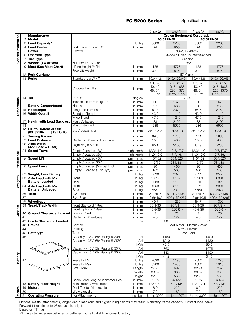|                     |                 |                                                         |                                  |                   | <i>Imperial</i> | Metric                             | <i>Imperial</i>              | Metric       |
|---------------------|-----------------|---------------------------------------------------------|----------------------------------|-------------------|-----------------|------------------------------------|------------------------------|--------------|
|                     | 1               | <b>Manufacturer</b>                                     |                                  |                   |                 | <b>Crown Equipment Corporation</b> |                              |              |
|                     | $\sqrt{2}$      | <b>Model</b>                                            |                                  |                   |                 | FC 5215-50                         |                              | FC 5225-50   |
|                     | 3               | Load Capacity*                                          |                                  | lb kg             | 5000            | 2265                               | 5000                         | 2265         |
|                     | $\overline{4}$  | <b>Load Center</b>                                      | Fork Face to Load CG             | in mm             | 24              | 600                                | 24                           | 600          |
| General Information | $\sqrt{5}$      | <b>Power</b>                                            | Electric                         |                   |                 |                                    | 36-Volt / 48-Volt            |              |
|                     | 6               | <b>Operator Type</b>                                    |                                  |                   |                 | Sit-down Rider Counterbalanced     |                              |              |
|                     | 7               | <b>Tire Type</b>                                        |                                  |                   |                 |                                    | Cushion                      |              |
|                     | 8               | Wheels $(x =$ driven)                                   | Number Front/Rear                |                   |                 |                                    | 2x/2                         |              |
|                     | 9               | Mast (See Mast Chart)                                   | Lifting Height (MFH)             | in mm             | 188             | 4775                               | 188                          | 4775         |
|                     |                 |                                                         | Free Lift Height                 | in mm             | 32.2            | 815                                | 32.2                         | 815          |
|                     |                 | 12 Fork Carriage                                        |                                  |                   |                 |                                    | <b>ITA Class II</b>          |              |
|                     |                 | $13$ Forks                                              | Standard L x W x T               | in mm             | 36x4x1.8        | 915x102x46                         | 36x4x1.8                     | 915x102x46   |
|                     |                 |                                                         |                                  |                   | 30, 32,         | 760, 815,                          | 30, 32,                      | 760, 815,    |
|                     |                 |                                                         | Optional Lengths                 |                   | 40, 42,         | 1015, 1065,                        | 40, 42,                      | 1015, 1065,  |
|                     |                 |                                                         |                                  | in mm             | 48, 54,         | 1220, 1370,                        | 48, 54,                      | 1220, 1370,  |
|                     |                 |                                                         |                                  |                   | 60, 72          | 1525, 1825                         | 60, 72                       | 1525, 1825   |
|                     | 14              | Tilt                                                    | $F^{\circ}$ / $B^{\circ}$        | degree            |                 |                                    | 5/5                          |              |
|                     |                 |                                                         | Interlocked Fork Height**        | in mm             | 66              | 1675                               | 66                           | 1675         |
|                     |                 | <b>Battery Compartment</b>                              | Nominal                          | in mm             | 27              | 686                                | 33                           | 838          |
| <b>Dimensions</b>   |                 | 15 Headlength                                           | Length to Fork Face              | in mm             | 81.4            | 2070                               | 84.6                         | 2150         |
|                     | 16              | <b>Width Overall</b>                                    | <b>Standard Tread</b>            | in mm             | 43.9            | 1115                               | 43.9                         | 1115         |
|                     |                 |                                                         | <b>Wide Tread</b>                | in mm             | 47.5            | 1210                               | 47.5                         | 1210         |
|                     | 17              | <b>Height with Load Backrest</b>                        | Mast Collapsed                   | in mm             | 83              | 2105                               | 83                           | 2105         |
|                     | 18              |                                                         | Mast Extended                    | in mm             | 236             | 5995                               | 236                          | 5995         |
|                     | 20              | <b>SIP to Bottom of OHG</b><br>(86" [2184 mm] Tall OHG) | Std / Suspension                 | in mm             | 36.1/35.8       | 918/910                            | 36.1/35.8                    | 918/910      |
|                     | 21              | <b>Turning Radius</b>                                   |                                  | in mm             | 69.3            | 1760                               | 72.1                         | 1830         |
|                     | 22              | <b>Load Distance</b>                                    | Center of Wheel to Fork Face     | in mm             | 15.8            | 400                                | 15.8                         | 400          |
|                     | 23              | <b>Aisle Width</b>                                      | <b>Right Angle Stack</b>         |                   |                 |                                    |                              |              |
|                     |                 | (Add Load + Clear)                                      |                                  | in mm             | 85.1            | 2160                               | 87.9                         | 2230         |
|                     | 24              | <b>Speed Travel</b>                                     | Empty / Loaded 48V               | mph km/h          | 12.3/11.0       | 19.7/17.7                          | 12.3/11.0                    | 19.7/17.7    |
|                     |                 |                                                         | Empty / Loaded 36V               | mph km/h          | 11.0/10.0       | 17.7/16.1                          | 11.0/10.0                    | 17.7/16.1    |
| Performance         | 25              | <b>Speed Liftt</b>                                      | Empty / Loaded 48V               | fpm mm/s          | 115/102         | 584/520                            | 115/102                      | 584/520      |
|                     |                 |                                                         | Empty / Loaded 36V               | fpm mm/s          | 115/75          | 584/381                            | 115/75                       | 584/381      |
|                     | 26              | <b>Speed Lower</b>                                      | Empty / Loaded (Manual Hyd)      | fpm mm/s          | 90<br>100       | 460<br>505                         | 90<br>100                    | 460<br>505   |
|                     | 32              | <b>Weight, Less Battery</b>                             | Empty / Loaded (EPV Hyd)         | fpm mm/s<br>lb kg | 8090            | 3670                               | 7825                         | 3550         |
|                     | 33              | <b>Axle Load with Max</b>                               | Front                            | lb kg             | 13657           | 6189                               | 13909                        | 6304         |
| Weights             |                 | <b>Battery, Loaded</b>                                  | Rear                             | lb kg             | 2633            | 1196                               | 2916                         | 1326         |
|                     | 34              | <b>Axle Load with Max</b>                               | Front                            | lb kg             | 4653            | 2110                               | 5271                         | 2391         |
|                     |                 | <b>Battery, Unloaded</b>                                | Rear                             | lb kg             | 6637            | 3010                               | 6554                         | 2974         |
|                     | 36              | Tires                                                   | Size Front                       | in mm             | 21x7x15         | 533x178x381                        | 21x7x15                      | 533x178x381  |
|                     | 37              |                                                         | Size Rear                        | in mm             | 16x6x10.5       | 406x152x267                        | 16x6x10.5                    | 406x152x267  |
|                     | 38              | Wheelbase                                               |                                  | in mm             | 49.7            | 1260                               | 54.7                         | 1390         |
|                     | 39              | <b>Tread/Track Width</b>                                | Front Standard / Rear            | in mm             | 36.9/36         | 937/914                            | 36.9/36                      | 937/914      |
| assis               |                 |                                                         | Front Optional / Rear            | in mm             | 40.5/36         | 1029/914                           | 40.5/36                      | 1029/914     |
|                     |                 | 40 Ground Clearance, Loaded Lowest Point                |                                  | in mm             | 3               | 76                                 | 3                            | 76           |
| င်                  | 41              |                                                         | Center of Wheelbase              | in mm             | 4.8             | 122                                | 4.8                          | 122          |
|                     |                 | 42 Grade Clearance, Loaded                              |                                  | $\%$              |                 | 38                                 |                              | 35           |
|                     |                 | 43 Brakes                                               | Service                          |                   |                 |                                    | Foot Motor - Electric Assist |              |
|                     | 44              |                                                         | Parking                          |                   |                 |                                    | Auto - Electric              |              |
|                     | 45              | Battery††                                               | Type                             |                   |                 |                                    | Lead Acid                    |              |
|                     | 46              |                                                         | Capacity - 36V 5hr Rating @ 30°C | AH                |                 | 1180                               |                              | 1400         |
|                     |                 |                                                         | Capacity - 36V 6hr Rating @ 25°C | AH                |                 | 1210                               |                              | 1430         |
|                     |                 |                                                         | Capacity - 48V 5hr Rating @ 30°C | kWh<br>AΗ         |                 | 42.5<br>860                        |                              | 50.2<br>1075 |
|                     |                 | <b>CARGE</b><br>కార్                                    | Capacity - 48V 6hr Rating @ 25°C | AH                |                 | 880                                |                              | 1100         |
|                     |                 | н                                                       |                                  | kWh               |                 | 41.2                               |                              | 51.5         |
| Battery             | $\overline{47}$ |                                                         | Weight - Min                     | lb kg             | 2630            | 1195                               | 2800                         | 1270         |
|                     |                 |                                                         | Weight - Max                     | lb kg             | 3200            | 1450                               | 4000                         | 1815         |
|                     |                 |                                                         | Size - Max                       | Length            | 27.25           | 692                                | 32.94                        | 837          |
|                     |                 |                                                         |                                  | Width             | 38.69           | 983                                | 38.69                        | 983          |
|                     |                 |                                                         |                                  | Height            | 22.25           | 565                                | 22.25                        | 565          |
|                     |                 |                                                         | Cable Lead Length/Connector Pos. | in mm             | 18/A            | 455/A                              | 18/A                         | 455/A        |
|                     | 48              | <b>Battery Floor Height</b>                             | With Rollers / w/o Rollers       | in mm             | 17.4/17.1       | 442/434                            | 17.4/17.1                    | 442/434      |
|                     | 49              | <b>Motors</b>                                           | Dual Tractor Motors, dia         | in mm             | 8.9             | 225                                | 8.9                          | 225          |
| <b>Motors</b>       | 50              |                                                         | Lift Motor, dia                  | in mm             | 7.2             | 183                                | 7.2                          | 183          |
|                     |                 | 51 Operating Pressure                                   | For Attachments                  | psi bar           | Up to 3000      | Up to 207                          | Up to 3000                   | Up to 207    |

\* Optional masts, attachments, longer load dimensions and higher lifting heights may result in derating of the capacity. Contact local dealer.

\*\* Forward tilt restricted to 2° above this height.

† Based on TT mast.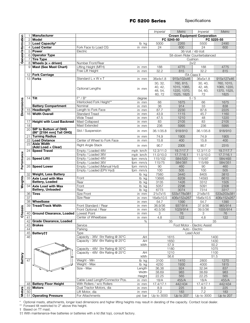|                     |                 |                                           |                                                                |                 | <i>Imperial</i>   | Metric                             | <i>Imperial</i>              | Metric           |
|---------------------|-----------------|-------------------------------------------|----------------------------------------------------------------|-----------------|-------------------|------------------------------------|------------------------------|------------------|
|                     |                 | <b>Manufacturer</b>                       |                                                                |                 |                   | <b>Crown Equipment Corporation</b> |                              |                  |
|                     | $\mathbf{2}$    | Model                                     |                                                                |                 |                   | FC 5245-50                         |                              | FC 5225-55       |
|                     | З               | Load Capacity*                            |                                                                | lb kg           | 5000              | 2265                               | 5500                         | 2490             |
|                     | $\overline{4}$  | <b>Load Center</b>                        | Fork Face to Load CG                                           | in mm           | 24                | 600                                | 24                           | 600              |
|                     | 5               | <b>Power</b>                              | Electric                                                       |                 |                   |                                    | 36-Volt / 48-Volt            |                  |
| General Information | 6               | <b>Operator Type</b>                      |                                                                |                 |                   | Sit-down Rider Counterbalanced     |                              |                  |
|                     |                 | <b>Tire Type</b>                          |                                                                |                 |                   |                                    | Cushion                      |                  |
|                     | 8               | Wheels $(x = driven)$                     | Number Front/Rear                                              |                 |                   |                                    | 2x/2                         |                  |
|                     | 9               | <b>Mast (See Mast Chart)</b>              | Lifting Height (MFH)                                           | in mm           | 188               | 4775                               | 188                          | 4775             |
|                     |                 |                                           | Free Lift Height                                               | in mm           | 32.2              | 815                                | 32.2                         | 815              |
|                     | 12 <sup>2</sup> | <b>Fork Carriage</b>                      |                                                                |                 |                   |                                    | <b>ITA Class II</b>          |                  |
|                     |                 | $13$ Forks                                | Standard L x W x T                                             | in mm           | 36x4x1.8          | 915x102x46                         | 36x5x1.8                     | 915x127x46       |
|                     |                 |                                           |                                                                |                 | 30, 32,           | 760, 815,                          | 30, 40,                      | 760, 1015,       |
|                     |                 |                                           | Optional Lengths                                               |                 | 40, 42,           | 1015, 1065,                        | 42, 48,                      | 1065, 1220,      |
|                     |                 |                                           |                                                                | in mm           | 48, 54,           | 1220, 1370,                        | 54, 60,                      | 1370, 1525,      |
|                     |                 |                                           |                                                                |                 | 60, 72            | 1525, 1825                         | 72                           | 1825             |
|                     | 14              | <b>Tilt</b>                               | $F^{\circ}$ / $B^{\circ}$                                      | degree          |                   |                                    | 5/5                          |                  |
|                     |                 |                                           | Interlocked Fork Height**                                      | in mm           | 66                | 1675                               | 66                           | 1675             |
|                     |                 | <b>Battery Compartment</b>                | Nominal                                                        | in mm           | 36                | 914                                | 33                           | 838              |
| <b>Dimensions</b>   | 15              | Headlength                                | Length to Fork Face                                            | in mm           | 87.7              | 2230                               | 87.6                         | 2225             |
|                     | 16              | <b>Width Overall</b>                      | <b>Standard Tread</b>                                          | in mm           | 43.9              | 1115                               | 45.7                         | 1160             |
|                     |                 | <b>Height with Load Backrest</b>          | <b>Wide Tread</b><br><b>Mast Collapsed</b>                     | in mm           | 47.5<br>83        | 1210<br>2105                       | 48<br>83                     | 1220<br>2105     |
|                     | 17<br>18        |                                           | Mast Extended                                                  | in mm<br>in mm  | 236               | 5995                               | 236                          | 5995             |
|                     | 20              | SIP to Bottom of OHG                      |                                                                |                 |                   |                                    |                              |                  |
|                     |                 | (86" [2184 mm] Tall OHG)                  | Std / Suspension                                               | in mm           | 36.1/35.8         | 918/910                            | 36.1/35.8                    | 918/910          |
|                     | 21              | <b>Turning Radius</b>                     |                                                                | in mm           | 74.9              | 1905                               | 74.9                         | 1905             |
|                     | 22              | <b>Load Distance</b>                      | Center of Wheel to Fork Face                                   | in mm           | 15.8              | 400                                | 15.8                         | 400              |
|                     | 23              | <b>Aisle Width</b>                        | Right Angle Stack                                              | in mm           | 90.7              | 2305                               | 90.7                         | 2315             |
|                     | 24              | (Add Load + Clear)<br><b>Speed Travel</b> | Empty / Loaded 48V                                             | mph km/h        | 12.3/11.0         | 19.7/17.7                          | 12.3/11.0                    | 19.7/17.7        |
|                     |                 |                                           | Empty / Loaded 36V                                             | mph km/h        | 11.0/10.0         | 17.7/16.1                          | 11.0/10.0                    | 17.7/16.1        |
| Performance         | 25              | Speed Lift+                               | Empty / Loaded 48V                                             | fpm mm/s        | 115/102           | 584/520                            | 115/97                       | 584/493          |
|                     |                 |                                           | Empty / Loaded 36V                                             | fpm mm/s        | 115/75            | 584/381                            | 115/69                       | 584/351          |
|                     | 26              | <b>Speed Lower</b>                        | Empty / Loaded (Manual Hyd)                                    | fpm mm/s        | 90                | 460                                | 90                           | 460              |
|                     |                 |                                           | Empty / Loaded (EPV Hyd)                                       | fpm mm/s        | 100               | 505                                | 100                          | 505              |
|                     | 32              | <b>Weight, Less Battery</b>               |                                                                | lb kg           | 7580              | 3440                               | 8405                         | 3810             |
|                     | 33              | Axle Load with Max                        | Front                                                          | lb<br>kg        | 13695             | 6209                               | 14593                        | 6610             |
| Weights             |                 | Battery, Loaded                           | Rear                                                           | lb kg           | 3135              | 1426                               | 3312                         | 1505             |
|                     | 34              | <b>Axle Load with Max</b>                 | Front                                                          | lb kg           | 5057              | 2296                               | 5091                         | 2308             |
|                     |                 | <b>Battery, Unloaded</b>                  | Rear                                                           | lb kg           | 6773              | 3074                               | 7314                         | 3317             |
|                     | 36              | <b>Tires</b>                              | Size Front                                                     | in mm           | 21x7x15           | 533x178x381                        | 21x8x15                      | 533x203x381      |
|                     | 37              |                                           | Size Rear                                                      | in mm           | 16x6x10.5         | 406x152x267                        | 16x6x10.5                    | 406x152x267      |
|                     | 38<br>39        | Wheelbase                                 |                                                                | in mm           | 54.7<br>36.9/36   | 1390<br>937/914                    | 54.7<br>37.9/36              | 1390<br>965/914  |
| assis               |                 | <b>Tread/Track Width</b>                  | Front Standard / Rear<br>Front Optional / Rear                 | in mm           | 40.5/36           | 1029/914                           | 39.5/36                      | 1005/914         |
|                     |                 | 40 Ground Clearance, Loaded Lowest Point  |                                                                | in mm           |                   |                                    |                              |                  |
| ర్                  | 41              |                                           | Center of Wheelbase                                            | in mm<br>in mm  | 3<br>4.8          | 76<br>122                          | 3<br>4.8                     | 76<br>122        |
|                     |                 | 42 Grade Clearance, Loaded                |                                                                | %               |                   | 35                                 |                              | 35               |
|                     |                 | $43$ Brakes                               | Service                                                        |                 |                   |                                    | Foot Motor - Electric Assist |                  |
|                     | 44              |                                           | Parking                                                        |                 |                   |                                    | Auto - Electric              |                  |
|                     | 45              | Battery††                                 | Type                                                           |                 |                   |                                    | Lead Acid                    |                  |
|                     | 46              |                                           | Capacity - 36V 5hr Rating @ 30°C                               | AH              |                   | 1615                               |                              | 1400             |
|                     |                 |                                           | Capacity - 36V 6hr Rating @ 25°C                               | AH              |                   | 1650                               |                              | 1430             |
|                     |                 |                                           |                                                                | kWh             |                   | 57.9                               |                              | 50.2             |
|                     |                 |                                           | Capacity - 48V 5hr Rating @ 30°C                               |                 |                   | 1180                               |                              | 1075             |
|                     |                 | <b>SOUL BOOK</b>                          | Capacity - 48V 6hr Rating @ 25°C                               | AH              |                   | 1210                               |                              | $1100$           |
|                     |                 |                                           |                                                                | kWh             |                   | 56.6                               |                              | 51.5             |
| Battery             | 47              |                                           | Weight - Min                                                   | lb kg           | 3100              | 1410                               | 2800                         | 1270             |
|                     |                 |                                           | Weight - Max<br>Size - Max                                     | lb kg<br>Length | 4250<br>36.38     | 1930<br>924                        | 4000<br>32.94                | 1815<br>837      |
|                     |                 |                                           |                                                                | Width           | 38.69             | 983                                | 38.69                        | 983              |
|                     |                 |                                           |                                                                |                 |                   |                                    | 22.25                        | 565              |
|                     |                 |                                           |                                                                |                 |                   |                                    |                              |                  |
|                     |                 |                                           |                                                                | Height          | 22.25             | 565                                |                              |                  |
|                     |                 |                                           | Cable Lead Length/Connector Pos.<br>With Rollers / w/o Rollers | in mm<br>in mm  | 18/A              | 455/A<br>442/434                   | 18/A                         | 455/A<br>442/434 |
|                     | 49              | 48 Battery Floor Height<br><b>Motors</b>  | Dual Tractor Motors, dia                                       |                 | 17.4/17.1<br>8.9  | 225                                | 17.4/17.1<br>$8.9\,$         | 225              |
| <b>Motors</b>       | 50              | <b>Operating Pressure</b>                 | Lift Motor, dia<br>For Attachments                             | in mm<br>in mm  | 7.2<br>Up to 3000 | 183<br>Up to 207                   | 7.2<br>Up to 3000            | 183              |

\* Optional masts, attachments, longer load dimensions and higher lifting heights may result in derating of the capacity. Contact local dealer.

\*\* Forward tilt restricted to 2° above this height.

† Based on TT mast.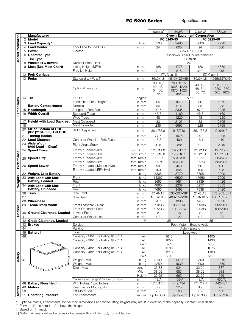|                     |                |                                          |                                  |                | <i>Imperial</i>  | <b>Metric</b>                      | <i>Imperial</i>              | Metric               |
|---------------------|----------------|------------------------------------------|----------------------------------|----------------|------------------|------------------------------------|------------------------------|----------------------|
|                     |                | 1 Manufacturer                           |                                  |                |                  | <b>Crown Equipment Corporation</b> |                              |                      |
|                     | $\overline{2}$ | Model                                    |                                  |                |                  | FC 5245-55                         |                              | FC 5225-60           |
|                     |                | 3 Load Capacity*                         |                                  | lb kg          | 5500             | 2490                               | 6000                         | 2720                 |
|                     |                | 4 Load Center                            | Fork Face to Load CG             | in mm          | 24               | 600                                | 24                           | 600                  |
|                     |                | 5 Power                                  | Electric                         |                |                  |                                    | 36-Volt / 48-Volt            |                      |
| General Information |                | 6 Operator Type                          |                                  |                |                  | Sit-down Rider Counterbalanced     |                              |                      |
|                     | 71             | <b>Tire Type</b>                         |                                  |                |                  |                                    | Cushion                      |                      |
|                     |                | $8$ Wheels (x = driven)                  | Number Front/Rear                |                |                  |                                    | 2x/2                         |                      |
|                     | 9              | <b>Mast (See Mast Chart)</b>             | Lifting Height (MFH)             | in mm          | 188              | 4775                               | 180                          | 4570                 |
|                     |                |                                          | Free Lift Height                 | in mm          | 32.2             | 815                                | 32.2                         | 815                  |
|                     |                | 12 Fork Carriage                         |                                  |                |                  | <b>ITA Class II</b>                |                              | <b>ITA Class III</b> |
|                     |                | $13$ Forks                               | Standard L x W x T               | in mm          | 36x5x1.8         | 915x127x46                         | 36x5x1.8                     | 915x127x46           |
|                     |                |                                          |                                  |                | 30, 40,          | 760, 1015,                         |                              |                      |
|                     |                |                                          |                                  |                | 42, 48,          | 1065, 1220,                        | 40, 42,                      | 1015, 1065,          |
|                     |                |                                          | Optional Lengths                 | in mm          | 54, 60,          | 1370, 1525,                        | 48, 54,                      | 1220, 1370,          |
|                     |                |                                          |                                  |                | 72               | 1825                               | 60, 72                       | 1525, 1825           |
|                     |                | $14$ Tilt                                | $F^{\circ}$ / $B^{\circ}$        | degree         |                  |                                    | 5/5                          |                      |
|                     |                |                                          | Interlocked Fork Height**        | in mm          | 66               | 1675                               | 66                           | 1675                 |
|                     |                | <b>Battery Compartment</b>               | Nominal                          | in mm          | 36               | 914                                | 33                           | 838                  |
|                     |                | 15 Headlength                            | Length to Fork Face              | in mm          | 90.7             | 2305                               | 87.9                         | 2235                 |
| <b>Dimensions</b>   |                | 16 Width Overall                         | <b>Standard Tread</b>            | in mm          | 45.7             | 1160                               | 45.7                         | 1160                 |
|                     |                |                                          | <b>Wide Tread</b>                | in mm          | 48               | 1220                               | 48                           | 1220                 |
|                     |                | 17 Height with Load Backrest             | Mast Collapsed                   | in mm          | 83               | 2105                               | 83                           | 2105                 |
|                     | 18             |                                          | Mast Extended                    | in mm          | 236              | 5995                               | 228                          | 5795                 |
|                     |                | 20 SIP to Bottom of OHG                  | Std / Suspension                 | in mm          | 36.1/35.8        | 918/910                            | 36.1/35.8                    | 918/910              |
|                     |                | (86" [2184 mm] Tall OHG)                 |                                  |                |                  |                                    |                              |                      |
|                     |                | 21 Turning Radius                        |                                  | in mm          | 77.7             | 1975                               | 74.9                         | 1905                 |
|                     |                | 22 Load Distance                         | Center of Wheel to Fork Face     | in mm          | 15.8             | 400                                | 16.1                         | 410                  |
|                     | 23             | <b>Aisle Width</b><br>(Add Load + Clear) | Right Angle Stack                | in mm          | 93.5             | 2385                               | 91                           | 2315                 |
|                     | 24             | <b>Speed Travel</b>                      | Empty / Loaded 48V               | mph km/h       | 12.3/11.0        | 19.7/17.7                          | 12.3/11.0                    | 19.7/17.7            |
|                     |                |                                          | Empty / Loaded 36V               | mph km/h       | 11.0/10.0        | 17.7/16.1                          | 11.0/10.0                    | 17.7/16.1            |
|                     |                | 25 Speed Liftt                           | Empty / Loaded 48V               | fpm mm/s       | 115/97           | 584/493                            | 115/92                       | 584/467              |
|                     |                |                                          | Empty / Loaded 36V               | fpm mm/s       | 115/69           | 584/351                            | 115/64                       | 584/327              |
| Performance         |                | 26 Speed Lower                           | Empty / Loaded (Manual Hyd)      | fpm mm/s       | 90               | 460                                | 90                           | 460                  |
|                     |                |                                          | Empty / Loaded (EPV Hyd)         | fpm mm/s       | 100              | 505                                | 100                          | 505                  |
|                     | 32             | <b>Weight, Less Battery</b>              |                                  | lb kg          | 8305             | 3770                               | 8795                         | 3990                 |
|                     |                | 33 Axle Load with Max                    | Front                            | lb kg          | 14362            | 6509                               | 15656                        | 7099                 |
|                     |                | <b>Battery, Loaded</b>                   | Rear                             | lb kg          | 3693             | 1681                               | 3139                         | 1426                 |
| Weights             | 34             | <b>Axle Load with Max</b>                | Front                            | lb kg          | 4860             | 2207                               | 5257                         | 2385                 |
|                     |                | <b>Battery, Unloaded</b>                 | Rear                             | lb kg          | 7695             | 3493                               | 7538                         | 3420                 |
|                     |                | $36$ Tires                               | Size Front                       | in mm          | 21x8x15          | 533x203x381                        | 21x8x15                      | 533x203x381          |
|                     | 37             |                                          | <b>Size Rear</b>                 | in mm          | 16x6x10.5        | 406x152x267                        | 16x6x10.5                    | 406x152x267          |
|                     | 38             | Wheelbase                                |                                  | in mm          | 54.7             | 1390                               | 54.7                         | 1390                 |
|                     | 39             | <b>Tread/Track Width</b>                 | Front Standard / Rear            | in mm          | 37.9/36          | 965/914                            | 37.9/36                      | 965/914              |
| assis               |                |                                          | Front Optional / Rear            | in mm          | 39.5/36          | 1005/914                           | 39.5/36                      | 1005/914             |
|                     |                | 40 Ground Clearance, Loaded Lowest Point |                                  | in mm          | 3                | $76$                               | 3                            | $76\,$               |
| ō                   | 41             |                                          | Center of Wheelbase              | in mm          | 4.8              | 122                                | 4.8                          | 122                  |
|                     |                | 42 Grade Clearance, Loaded               |                                  | %              |                  | 35                                 |                              | 35                   |
|                     |                | $43$ Brakes                              | Service                          |                |                  |                                    | Foot Motor - Electric Assist |                      |
|                     | 44             |                                          | Parking                          |                |                  |                                    | Auto - Electric              |                      |
|                     |                | 45 Battery††                             | Type                             |                |                  |                                    | Lead Acid                    |                      |
|                     | 46             |                                          | Capacity - 36V 5hr Rating @ 30°C | AH             |                  | 1615                               |                              | 1400                 |
|                     |                |                                          | Capacity - 36V 6hr Rating @ 25°C | AH             |                  | 1650                               |                              | 1430                 |
|                     |                |                                          |                                  | kWh            |                  | 57.9                               |                              | 50.2                 |
|                     |                | <b>CONTRACTOR</b>                        | Capacity - 48V 5hr Rating @ 30°C | AH             |                  | 1180                               |                              | 1075                 |
|                     |                | <b>bee</b>                               | Capacity - 48V 6hr Rating @ 25°C | AH             |                  | 1210                               |                              | 1100                 |
|                     |                |                                          |                                  | kWh            |                  | 56.6                               |                              | 51.5                 |
| <b>Battery</b>      | 47             |                                          | Weight - Min                     | lb kg          | 3100             | 1410                               | 2800                         | 1270                 |
|                     |                |                                          | Weight - Max                     | lb kg          | 4250             | 1930                               | 4000                         | 1850                 |
|                     |                |                                          | Size - Max                       | Length         | 36.38            | 924                                | 32.94                        | 837                  |
|                     |                |                                          |                                  | Width          | 38.69            | 983                                | 38.69                        | 983                  |
|                     |                |                                          | Cable Lead Length/Connector Pos. | Height         | 22.25<br>18/A    | 565<br>455/A                       | 22.25<br>18/A                | 565<br>455/A         |
|                     |                | 48 Battery Floor Height                  | With Rollers / w/o Rollers       | in mm          |                  | 442/434                            | 17.4/17.1                    | 442/434              |
|                     |                | 49 Motors                                | Dual Tractor Motors, dia         | in mm<br>in mm | 17.4/17.1<br>8.9 | 225                                | 8.9                          | 225                  |
| <b>Motors</b>       | 50             |                                          | Lift Motor, dia                  | in mm          | 7.2              | 183                                | 7.2                          | 183                  |
|                     |                | 51 Operating Pressure                    | For Attachments                  | psi bar        | Up to 3000       | Up to 207                          | Up to 3000                   | Up to 207            |
|                     |                |                                          |                                  |                |                  |                                    |                              |                      |

\* Optional masts, attachments, longer load dimensions and higher lifting heights may result in derating of the capacity. Contact local dealer.

\*\* Forward tilt restricted to 2° above this height.

† Based on TT mast.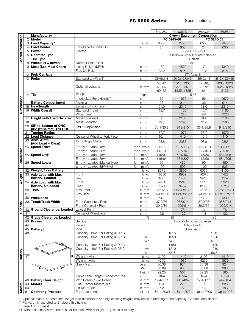|                     |                 |                                  |                                                                      |                 | <i><b>Imperial</b></i> | Metric                             | <i>Imperial</i>              | <b>Metric</b> |
|---------------------|-----------------|----------------------------------|----------------------------------------------------------------------|-----------------|------------------------|------------------------------------|------------------------------|---------------|
|                     |                 | Manufacturer                     |                                                                      |                 |                        | <b>Crown Equipment Corporation</b> |                              |               |
|                     | $\overline{2}$  | <b>Model</b>                     |                                                                      |                 |                        | FC 5245-60                         |                              | FC 5245-65    |
|                     |                 | 3 Load Capacity*                 |                                                                      | lb kg           | 6000                   | 2720                               | 6500                         | 2945          |
|                     |                 | 4 Load Center                    | Fork Face to Load CG                                                 | in mm           | 24                     | 600                                | 24                           | 600           |
|                     |                 | 5 Power                          | Electric                                                             |                 |                        |                                    | 36-Volt / 48-Volt            |               |
| General Information |                 | 6 Operator Type                  |                                                                      |                 |                        | Sit-down Rider Counterbalanced     |                              |               |
|                     | $\overline{7}$  | <b>Tire Type</b>                 |                                                                      |                 |                        |                                    | Cushion                      |               |
|                     |                 | $8$ Wheels (x = driven)          | Number Front/Rear                                                    |                 |                        |                                    | 2x/2                         |               |
|                     |                 | 9 Mast (See Mast Chart)          | Lifting Height (MFH)                                                 | in mm           | 180                    | 4570                               | 171                          | 4340          |
|                     |                 |                                  | Free Lift Height                                                     | in mm           | 32.2                   | 815                                | 32.2                         | 815           |
|                     |                 | 12 Fork Carriage                 |                                                                      |                 |                        |                                    | <b>ITA Class III</b>         |               |
|                     |                 | $13$ Forks                       | Standard L x W x T                                                   | in mm           | 36x5x1.8               | 915x127x46                         | 36x5x1.8                     | 915x127x46    |
|                     |                 |                                  |                                                                      |                 | 40, 42,                |                                    | 42, 48,                      | 1065, 1220,   |
|                     |                 |                                  | Optional Lengths                                                     |                 | 48, 54,                | 1015, 1065,<br>1220, 1370,         | 60, 72,                      | 1525, 1825,   |
|                     |                 |                                  |                                                                      | in mm           | 60, 72                 | 1525, 1825                         | 84                           | 2135          |
|                     | 14              | <b>Tilt</b>                      | $F^{\circ}/B^{\circ}$                                                |                 |                        |                                    | 5/5                          |               |
|                     |                 |                                  | Interlocked Fork Height**                                            | degree<br>in mm | 66                     | 1675                               | 66                           | 1675          |
|                     |                 | <b>Battery Compartment</b>       | Nominal                                                              |                 | 36                     | 914                                | 36                           | 914           |
| <b>Dimensions</b>   |                 | 15 Headlength                    |                                                                      | in mm           |                        |                                    |                              | 2315          |
|                     |                 | 16 Width Overall                 | Length to Fork Face                                                  | in mm           | 91.0                   | 2315                               | 91.0                         |               |
|                     |                 |                                  | <b>Standard Tread</b>                                                | in mm           | 45.7                   | 1160                               | 45.7                         | 1160          |
|                     |                 |                                  | <b>Wide Tread</b>                                                    | in mm           | 48                     | 1220                               | 48                           | 1220          |
|                     | 17              | <b>Height with Load Backrest</b> | Mast Collapsed                                                       | in mm           | 83                     | 2105                               | 83                           | 2105          |
|                     | 18              | <b>SIP to Bottom of OHG</b>      | Mast Extended                                                        | in mm           | 228                    | 5795                               | 219                          | 5565          |
|                     | 20 <sup>1</sup> | (86" [2184 mm] Tall OHG)         | Std / Suspension                                                     | in mm           | 36.1/35.8              | 918/910                            | 36.1/35.8                    | 918/910       |
|                     | 21              | <b>Turning Radius</b>            |                                                                      | in mm           | 77.7                   | 1975                               | 77.7                         | 1975          |
|                     | 22              | <b>Load Distance</b>             | Center of Wheel to Fork Face                                         | in mm           | 16.1                   | 410                                | 16.1                         | 410           |
|                     | 23              | <b>Aisle Width</b>               | <b>Right Angle Stack</b>                                             | in mm           | 93.8                   | 2385                               | 93.8                         | 2385          |
|                     |                 | (Add Load + Clear)               |                                                                      |                 |                        |                                    |                              |               |
|                     | 24              | <b>Speed Travel</b>              | Empty / Loaded 48V                                                   | mph km/h        | 12.3/11.0              | 19.7/17.7                          | 12.3/11.0                    | 19.7/17.7     |
|                     |                 |                                  | Empty / Loaded 36V                                                   | mph km/h        | 11.0/10.0              | 17.7/16.1                          | 11.0/10.0                    | 17.7/16.1     |
|                     |                 | $25$ Speed Liftt                 | Empty / Loaded 48V                                                   | fpm mm/s        | 115/92                 | 584/467                            | 115/80                       | 584/408       |
|                     |                 |                                  | Empty / Loaded 36V                                                   | fpm mm/s        | 115/64                 | 584/327                            | 115/58                       | 584/295       |
| Performance         |                 | 26 Speed Lower                   | Empty / Loaded (Manual Hyd)                                          | fpm mm/s        | 90                     | 460                                | 90                           | 460           |
|                     |                 |                                  | Empty / Loaded (EPV Hyd)                                             | fpm mm/s        | 100                    | 505                                | 100                          | 505           |
|                     | 32              | <b>Weight, Less Battery</b>      |                                                                      | lb kg           | 8375                   | 3800                               | 9035                         | 4100          |
|                     | 33              | <b>Axle Load with Max</b>        | Front                                                                | lb kg           | 15350                  | 6962                               | 16375                        | 7423          |
| Weights             |                 | <b>Battery, Loaded</b>           | Rear                                                                 | lb<br>kg        | 3275                   | 1488                               | 3410                         | 1552          |
|                     | 34              | <b>Axle Load with Max</b>        | Front                                                                | lb<br>kg        | 4951                   | 2248                               | 5110                         | 2320          |
|                     |                 | <b>Battery, Unloaded</b>         | Rear                                                                 | lb kg           | 7674                   | 3482                               | 8175                         | 3710          |
|                     | 36              | <b>Tires</b>                     | Size Front                                                           | in mm           | 21x8x15                | 533x203x381                        | 21x8x15                      | 533x203x381   |
|                     | 37              |                                  | Size Rear                                                            | in mm           | 16x6x10.5              | 406x152x267                        | 16x6x10.5                    | 406x152x267   |
|                     | 38              | Wheelbase                        |                                                                      | in mm           | 54.7                   | 1390                               | 54.7                         | 1390          |
|                     | 39              | <b>Tread/Track Width</b>         | Front Standard / Rear                                                | in mm           | 37.9/36                | 965/914                            | 37.9/36                      | 965/914       |
|                     |                 |                                  | Front Optional / Rear                                                | in mm           | 39.5/36                | 1005/914                           | 39.5/36                      | 1005/914      |
| Chassis             | 40              | <b>Ground Clearance, Loaded</b>  | Lowest Point                                                         | in mm           | 3                      | 76                                 | 3                            | 76            |
|                     | 41              |                                  | Center of Wheelbase                                                  | in mm           | 4.8                    | 122                                | 4.8                          | 122           |
|                     | 42              | Grade Clearance, Loaded          |                                                                      | %               |                        | 35                                 |                              | 35            |
|                     |                 | 43 Brakes                        | Service                                                              |                 |                        |                                    | Foot Motor - Electric Assist |               |
|                     | 44              |                                  | Parking                                                              |                 |                        |                                    | Auto - Electric              |               |
|                     |                 | 45 Battery††                     | Type                                                                 |                 |                        |                                    | Lead Acid                    |               |
|                     | 46              |                                  | Capacity - 36V 5hr Rating @ 30°C                                     |                 |                        | 1615                               |                              | 1615          |
|                     |                 |                                  | Capacity - 36V 6hr Rating @ 25°C                                     | AH              |                        | 1650                               |                              | 1650          |
|                     |                 |                                  |                                                                      | kWh             |                        | 57.9                               |                              | 57.9          |
|                     |                 |                                  | Capacity - 48V 5hr Rating @ 30°C<br>Capacity - 48V 6hr Rating @ 25°C |                 |                        | 1180                               |                              | 1180          |
| Battery             |                 | <b>CONTRACTOR</b>                |                                                                      | AH              |                        | 1210                               |                              | 1210          |
|                     | 47              |                                  | Weight - Min                                                         | kWh<br>lb kg    | 3100                   | 56.6<br>1410                       | 3100                         | 56.6<br>1410  |
|                     |                 |                                  | Weight - Max                                                         | lb kg           | 4250                   | 1930                               | 4250                         | 1930          |
|                     |                 |                                  | Size - Max                                                           | Length          | 36.38                  | 924                                | 36.38                        | 924           |
|                     |                 |                                  |                                                                      | Width           | 38.69                  | 983                                | 38.69                        | 983           |
|                     |                 |                                  |                                                                      | Height          | 22.25                  | 565                                | 22.25                        | 565           |
|                     |                 |                                  | Cable Lead Length/Connector Pos.                                     | in mm           | 18/A                   | 455/A                              | 18/A                         | 455/A         |
|                     |                 | 48 Battery Floor Height          | With Rollers / w/o Rollers                                           | in mm           | 17.4/17.1              | 442/434                            | 17.4/17.1                    | 442/434       |
|                     |                 | 49 Motors                        | Dual Tractor Motors, dia                                             | in mm           | 8.9                    | 225                                | 8.9                          | 225           |
| <b>Motors</b>       | 50              |                                  | Lift Motor, dia                                                      | in mm           | 7.2                    | 183                                | 7.2                          | 183           |
|                     |                 | 51 Operating Pressure            | For Attachments                                                      | psi bar         | Up to 3000             | Up to 207                          | Up to 3000                   | Up to 207     |
|                     |                 |                                  |                                                                      |                 |                        |                                    |                              |               |

\* Optional masts, attachments, longer load dimensions and higher lifting heights may result in derating of the capacity. Contact local dealer.

\*\* Forward tilt restricted to 2° above this height.

† Based on TT mast.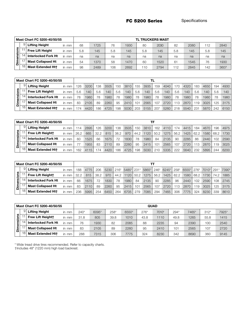|        |    | Mast Chart FC 5200-40/50/55 |       |     |      |     |      |     | <b>TL TRUCKERS MAST</b> |     |      |     |      |
|--------|----|-----------------------------|-------|-----|------|-----|------|-----|-------------------------|-----|------|-----|------|
|        | 9. | <b>Lifting Height</b>       | in mm | 68  | 1725 | 76  | 1930 | 80  | 2030                    | 82  | 2080 | 112 | 2840 |
| nsions |    | <b>Free Lift Height</b>     | in mm | 5.8 | 145  | 5.8 | 145  | 5.8 | 145                     | 5.8 | 145  | 5.8 | 145  |
| ō      |    | <b>Interlocked Fork Ht</b>  | in mm | na  | na   | na  | na   | na  | na                      | na  | na   | na  | na   |
| ε<br>ō |    | <b>Mast Collapsed Ht</b>    | in mm | 54  | 1370 | 58  | 1470 | 60  | 1520                    | 61  | 1545 | 76  | 1930 |
|        |    | <b>Mast Extended Htt</b>    | in mm | 98  | 2489 | 106 | 2692 | 11C | 2794                    | 12  | 2845 | 142 | 3607 |

|         |    | Mast Chart FC 5200-40/50/55 |          |     |      |     |      |     |      |     |      |     |      |     |      |        |      |     |      |
|---------|----|-----------------------------|----------|-----|------|-----|------|-----|------|-----|------|-----|------|-----|------|--------|------|-----|------|
|         | 91 | <b>Lifting Height</b>       | in mm    | 26  | 3200 | 138 | 3505 | 150 | 3810 | 155 | 3935 | 159 | 4040 | 70  | 4320 | 183    | 4650 | 194 | 4930 |
| ensions |    | Free Lift Heightt           | in mm    | 5.6 | 140  | 5.6 | 140  | 5.6 | 140  | 5.6 | 140  | 5.6 | 140  | 5.6 | 140  | 5.6    | 140  | 5.6 | 140  |
|         |    | <b>Interlocked Fork Ht</b>  | mm<br>in | 78  | 1980 | 78  | 1980 | 78  | 1980 | 78  | 1980 | 78  | 1980 | 78  | 1980 | 78     | 1980 | 78  | 1980 |
| ' ≦.    |    | <b>Mast Collapsed Ht</b>    | in mm    | 83  | 2105 | 89  | 2260 | 95  | 2410 | 101 | 2565 | 107 | 2720 | 13  | 2870 | 119    | 3025 | 125 | 3175 |
|         | 18 | <b>Mast Extended Htt</b>    | in mm    | 74  | 4420 | 186 | 4725 | 198 | 5030 | 203 | 5155 | 207 | 5260 | 218 | 5540 | $23 -$ | 5870 | 242 | 6150 |

|      |   | Mast Chart FC 5200-40/50/55 |       |      |      |      |      |      |      |      |      | TF   |      |      |      |      |      |      |      |
|------|---|-----------------------------|-------|------|------|------|------|------|------|------|------|------|------|------|------|------|------|------|------|
|      | 9 | <b>Lifting Height</b>       | in mm |      | 2895 | 126  | 3200 | 138  | 3505 | 150  | 3810 | 162  | 4110 | 74   | 4415 | 184  | 4670 | 196  | 4975 |
| gu   |   | Free Lift Heightt           | in mm | 26.2 | 665  | 32.2 | 815  | 38.2 | 970  | 44.2 | 1120 | 50.2 | 1275 | 56.2 | 1425 | 62.2 | 1580 | 68.2 | 1730 |
| gi   |   | <b>Interlocked Fork Ht</b>  | in mm | 60   | 1525 | 66   | 1675 | 72   | 1830 | 78   | 1980 | 84   | 2135 | 90   | 2285 | 86   | 2440 | 102  | 2590 |
| ' ≦. |   | <b>Mast Collapsed Ht</b>    | in mm |      | 1955 | 83   | 2110 | 89   | 226C | 95   | 2415 | 101  | 2565 | 107  | 2720 | 113  | 2870 | 119  | 3025 |
|      |   | <b>Mast Extended Htt</b>    | in mm | 162  | 4115 |      | 4420 | 86   | 4725 | 198  | 5030 | 21C  | 5335 | 222  | 5640 | 232  | 5895 | 244  | 6200 |

|          | Mast Chart FC 5200-40/50/55 |       |      |      |      |      |        |            |      |       |        |       |        |       |        |            |      |       |
|----------|-----------------------------|-------|------|------|------|------|--------|------------|------|-------|--------|-------|--------|-------|--------|------------|------|-------|
|          | <b>Lifting Height</b>       | in mm | 188  | 4775 | 206  | 5230 | $216*$ | 5485* 231* |      | 5865* | $246*$ | 6245* | $258*$ | 6555* | $276*$ | 7010* 291* |      | 7390* |
| ទី       | Free Lift Heightt           | in mm | 32.2 | 815  | 38.2 | 970  | 44.2   | 1120       | 50.2 | 1275  | 56.2   | 1425  | 62.2   | 1580  | 68.2   | 1730       | 74.2 | 1885  |
| ë<br>ō   | <b>Interlocked Fork Ht</b>  | in mm | 66   | 1675 | 72   | 1830 | 78     | 1980       | 84   | 2135  | 90     | 2285  | 96     | 2440  | 102    | 2590       | 108  | 2745  |
| $\Omega$ | <b>Mast Collapsed Ht</b>    | in mm | 83   | 2110 | 89   | 2260 | 95     | 2415       | 101  | 2565  | 107    | 2720  | `13    | 2870  | 119    | 3025       | 125  | 3175  |
|          | <b>Mast Extended Htt</b>    | in mm | 236  | 5995 | 254  | 6450 | 264    | 6705       | 279  | 7085  | 294    | 7465  | 306    | 7775  | 324    | 8230       | 339  | 8610  |

|        |               | Mast Chart FC 5200-40/50/55 |         |        |       |        |       |      | <b>QUAD</b> |      |             |        |       |
|--------|---------------|-----------------------------|---------|--------|-------|--------|-------|------|-------------|------|-------------|--------|-------|
|        | 9             | <b>Lifting Height</b>       | in mm   | $240*$ | 6095* | $258*$ | 6550* | 276* | 7010*       | 294* | 7465*       | $312*$ | 7925* |
| nsions |               | Free Lift Heightt           | in mm   | 31.8   | 805   | 39.8   | 1010  | 43.8 | 1110        | 49.8 | 1265        | 55.8   | 1415  |
| Φ      | 4             | <b>Interlocked Fork Ht</b>  | in mm   | 76     | 1930  | 82     | 2085  | 88   | 2235        | 94   | <b>2390</b> | 100    | 2540  |
| Ĕ      | $\rightarrow$ | <b>Mast Collapsed Ht</b>    | in $mm$ | 83     | 2105  | 89     | 2260  | 95   | 2410        | 101  | 2565        | 107    | 2720  |
|        | 18            | <b>Mast Extended Htt</b>    | in mm   | 288    | 7315  | 306    | 7775  | 324  | 8230        | 342  | 8690        | 360    | 9145  |

\* Wide tread drive tires recommended. Refer to capacity charts.

†Includes 48" (1220 mm) high load backrest.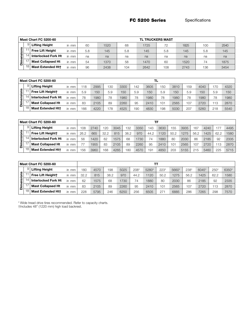|         |    | Mast Chart FC 5200-60      |       |     |      |     | TL TRUCKERS MAST |     |      |     |      |
|---------|----|----------------------------|-------|-----|------|-----|------------------|-----|------|-----|------|
|         | 9  | <b>Lifting Height</b>      | in mm | 6C  | 1520 | 68  | 1725             | 72  | 1825 | 10C | 2540 |
| ensions |    | <b>Free Lift Height</b>    | in mm | 5.8 | 145  | 5.8 | 145              | 5.8 | 145  | 5.8 | 145  |
|         |    | <b>Interlocked Fork Ht</b> | in mm | na  | na   | na  | na               | na  | na   | na  | na   |
| Ξ.<br>c |    | <b>Mast Collapsed Ht</b>   | in mm | 54  | 1370 | 58  | 1470             | 6C  | 1520 | 74  | 1875 |
|         | 18 | Mast Extended Htt          | in mm | 96  | 2438 | 104 | 2642             | 108 | 2743 | 136 | 3454 |

|           |    | Mast Chart FC 5200-60      |       |     |      |     |      |     |      |     |      |     |      |     |      |
|-----------|----|----------------------------|-------|-----|------|-----|------|-----|------|-----|------|-----|------|-----|------|
|           | 9  | <b>Lifting Height</b>      | in mm | 118 | 2995 | 130 | 3300 | 142 | 3605 | 150 | 3810 | 159 | 4040 | 170 | 4320 |
| ensions   |    | <b>Free Lift Heightt</b>   | in mm | 5.9 | 150  | 5.9 | 150  | 5.9 | 150  | 5.9 | 150  | 5.9 | 150  | 5.9 | 150  |
|           |    | <b>Interlocked Fork Ht</b> | in mm | 78  | 1980 | 78  | 1980 | 78  | 1980 | 78  | 1980 | 78  | 1980 | 78  | 1980 |
| im<br>Din |    | <b>Mast Collapsed Ht</b>   | in mm | 83  | 2105 | 89  | 2260 | 95  | 2410 | 101 | 2565 | 107 | 2720 | 113 | 2870 |
|           | 18 | <b>Mast Extended Htt</b>   | in mm | 166 | 422C | 178 | 4525 | 190 | 4830 | 198 | 5030 | 207 | 5260 | 218 | 5540 |

|            |                | Mast Chart FC 5200-60      |       | TF   |      |      |      |      |      |      |      |      |      |      |      |      |      |
|------------|----------------|----------------------------|-------|------|------|------|------|------|------|------|------|------|------|------|------|------|------|
|            |                | <b>Lifting Height</b>      | in mm | 08   | 2740 | 120  | 3045 | 132  | 3350 | 143  | 3630 | 155  | 3935 | 167  | 4240 | 177  | 4495 |
| Dimensions |                | <b>Free Lift Heightt</b>   | in mm | 26.2 | 665  | 32.2 | 815  | 38.2 | 970  | 44.2 | 1120 | 50.2 | 1275 | 56.2 | 1425 | 62.2 | 1580 |
|            | $\overline{4}$ | <b>Interlocked Fork Ht</b> | in mm | 56   | 1420 | 62   | 1575 | 68   | 1730 | 74   | 1880 | 80   | 2030 | 86   | 2185 | 92   | 2335 |
|            |                | <b>Mast Collapsed Ht</b>   | in mm |      | 1955 | 83   | 2105 | 89   | 2260 | 95   | 2410 | 101  | 2565 | 107  | 2720 | 113  | 2870 |
|            | 18             | <b>Mast Extended Htt</b>   | in mm | 56   | 3960 | 168  | 4265 | 18C  | 4570 | 191  | 4850 | 203  | 5155 | 215  | 5460 | 225  | 5715 |

|         |   | <b>Mast Chart FC 5200-60</b> |          | тт   |      |      |      |        |       |        |       |      |       |      |       |  |
|---------|---|------------------------------|----------|------|------|------|------|--------|-------|--------|-------|------|-------|------|-------|--|
|         | 9 | <b>Lifting Height</b>        | in mm    | 18C  | 4570 | 198  | 5025 | $208*$ | 5280* | $223*$ | 5660* | 238* | 6045* | 250* | 6350* |  |
| ens     |   | Free Lift Heightt            | in mm    | 32.2 | 815  | 38.2 | 970  | 44.2   | 1120  | 50.2   | 1275  | 56.2 | 1425  | 62.2 | 1580  |  |
|         |   | <b>Interlocked Fork Ht</b>   | mm<br>in | 62   | 1575 | 68   | 1730 | 74     | 1880  | 80     | 2030  | 86   | 2185  | 92   | 2335  |  |
| Dimensi |   | <b>Mast Collapsed Ht</b>     | in mm    | 83   | 2105 | 89   | 2260 | 95     | 2410  | 101    | 2565  | 107  | 2720  | 113  | 2870  |  |
|         |   | <b>Mast Extended Htt</b>     | in mm    | 228  | 5795 | 246  | 6250 | 256    | 6505  | 271    | 6885  | 286  | 7265  | 298  | 7570  |  |

\* Wide tread drive tires recommended. Refer to capacity charts. †Includes 48" (1220 mm) high load backrest.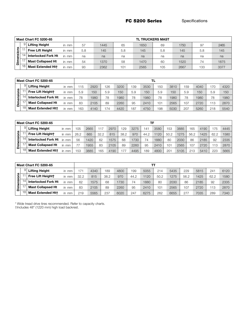|         |    | <b>Mast Chart FC 5200-65</b> |       | <b>TL TRUCKERS MAST</b> |      |     |      |     |      |     |      |  |  |  |  |
|---------|----|------------------------------|-------|-------------------------|------|-----|------|-----|------|-----|------|--|--|--|--|
|         |    | <b>Lifting Height</b>        | in mm | 57                      | 1445 | 65  | 1650 | 69  | 1750 | 97  | 2465 |  |  |  |  |
| ions    |    | Free Lift Height             | in mm | 5.8                     | 145  | 5.8 | 145  | 5.8 | 145  | 5.8 | 145  |  |  |  |  |
|         |    | <b>Interlocked Fork Ht</b>   | in mm | na                      | na   | na  | na   | na  | na   | na  | na   |  |  |  |  |
| Dimensi |    | <b>Mast Collapsed Ht</b>     | in mm | 54                      | 1370 | 58  | 1470 | 60  | 1520 | 74  | 1875 |  |  |  |  |
|         | 18 | <b>Mast Extended Htt</b>     | in mm | 93                      | 2362 | 101 | 2565 | 105 | 2667 | 133 | 3377 |  |  |  |  |

|       |    | <b>Mast Chart FC 5200-65</b> |       | TL. |      |     |      |     |      |     |      |     |      |     |      |  |
|-------|----|------------------------------|-------|-----|------|-----|------|-----|------|-----|------|-----|------|-----|------|--|
|       | 9  | <b>Lifting Height</b>        | in mm | '15 | 2920 | 126 | 3200 | 139 | 3530 | 150 | 3810 | 159 | 4040 | 170 | 4320 |  |
| ens   |    | Free Lift Heightt            | in mm | 5.9 | 150  | 5.9 | 150  | 5.9 | 150  | 5.9 | 150  | 5.9 | 150  | 5.9 | 150  |  |
| iensi |    | <b>Interlocked Fork Ht</b>   | in mm | 78  | 1980 | 78  | 1980 | 78  | 1980 | 78  | 1980 | 78  | 1980 | 78  | 1980 |  |
| ا ≧.  |    | <b>Mast Collapsed Ht</b>     | in mm | 83  | 2105 | 89  | 2260 | 95  | 2410 | 101 | 2565 | 107 | 2720 | 13  | 2870 |  |
|       | 18 | <b>Mast Extended Htt</b>     | in mm | 163 | 4140 | 174 | 4420 | 187 | 4750 | 198 | 5030 | 207 | 5260 | 218 | 5540 |  |

|         | <b>Mast Chart FC 5200-65</b> |          | TF   |      |      |      |      |      |      |      |      |      |      |                  |      |      |
|---------|------------------------------|----------|------|------|------|------|------|------|------|------|------|------|------|------------------|------|------|
|         | <b>Lifting Height</b>        | in mm    | 05   | 2665 | 117  | 2970 | 129  | 3275 | 141  | 3580 | 153  | 3885 | 165  | 419 <sub>C</sub> | ' 75 | 4445 |
| ens     | <b>Free Lift Heightt</b>     | in mm    | 26.2 | 665  | 32.2 | 815  | 38.2 | 970  | 44.2 | 1120 | 50.2 | 1275 | 56.2 | 1425             | 62.2 | 1580 |
|         | <b>Interlocked Fork Ht</b>   | in mm    | 56   | 1420 | 62   | 1575 | 68   | 1730 | 74   | 1880 | 80   | 2030 | 86   | 2185             | 92   | 2335 |
| Dimensi | <b>Mast Collapsed Ht</b>     | in mm    |      | 1955 | 83   | 2105 | 89   | 2260 | 95   | 2410 | 101  | 2565 | 107  | 2720             | 13   | 2870 |
|         | <b>Mast Extended Htt</b>     | mm<br>in | 153  | 3885 | 165  | 4190 | 77   | 4495 | 189  | 4800 | 201  | 5105 | 213  | 5410             | 223  | 5665 |

|     |               | <b>Mast Chart FC 5200-65</b> |       | тт              |      |      |      |      |      |      |      |      |      |      |      |  |
|-----|---------------|------------------------------|-------|-----------------|------|------|------|------|------|------|------|------|------|------|------|--|
|     |               | <b>Lifting Height</b>        | in mm | 17 <sup>1</sup> | 4340 | 189  | 4800 | 199  | 5055 | 214  | 5435 | 229  | 5815 | 241  | 6120 |  |
| ons |               | Free Lift Heightt            | in mm | 32.2            | 815  | 38.2 | 970  | 44.2 | 1120 | 50.2 | 1275 | 56.2 | 1425 | 62.2 | 1580 |  |
| g   |               | <b>Interlocked Fork Ht</b>   | in mm | 62              | 1575 | 68   | 1730 | 74   | 1880 | 80   | 2030 | 86   | 2185 | 92   | 2335 |  |
| ā   | $\rightarrow$ | <b>Mast Collapsed Ht</b>     | in mm | 83              | 2105 | 89   | 2260 | 95   | 2410 | 101  | 2565 | 107  | 2720 | 113  | 2870 |  |
|     |               | <b>Mast Extended Htt</b>     | in mm | 219             | 5565 | 237  | 6020 | 247  | 6275 | 262  | 6655 | 27   | 7035 | 289  | 7340 |  |

\* Wide tread drive tires recommended. Refer to capacity charts.

†Includes 48" (1220 mm) high load backrest.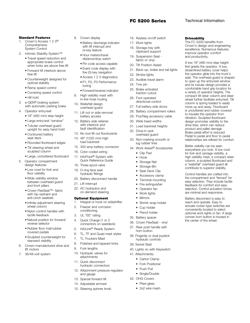# **FC 5200 Series Technical Information**

The FC 5200 benefits from Crown's design and engineering excellence. Numerous features improve operator comfort and productivity.

A low 18" (460 mm) step height first greets the operator. A low, streamlined battery cover helps the operator glide into the truck's seat. The overhead guard is shaped to open up the entry/exit window and its tubular design provides a comfortable hand grip location for a variety of operator heights. The compact tilt steer column and steer wheel further facilitate entry/exit. Tilt column is spring loaded to easily move up and away. Floorboard is uncluttered and rubber covered to insulate the operator from vibration. Sculpted floorboard design promotes visibility to the drive tires, which can reduce product and pallet damage. Brake pedal effort is reduced. Pedal to pedal and floor to pedal relationships are refined for comfort.

Better visibility can be seen everywhere you look. A low cowl for fork and carriage visibility, a high visibility mast, a compact steer column, a sculpted floorboard and a "waterfall" overhead guard all contribute to superior visibility. Control handles are crafted into the compartment and "fanned" for easy selection. They include tactile feedback for comfort and easy selection. Control actuation forces are minimal and responsive. Battery disconnect is easy to reach and operate. Easy to actuate rocker-type switches are conveniently located to select optional work lights or fan. A large convex horn button is housed in the center of the wheel.

**Driveability** 

# Standard Features

- 1. Crown's Access 1 2 3® Comprehensive System Control
- 2. Intrinsic Stability System™
	- Travel speed reduction and appropriate brake control when forks are above free lift
	- Forward tilt interlock above free lift
	- Counterweight designed for optimal stability
	- Ramp speed control
	- Cornering speed control
	- Hill hold
- 3. e-GEN® braking system with automatic parking brake
- 4. Operator entry/exit
	- 18" (460 mm) step height
	- Large entry/exit "window"
	- Tubular overhead guard upright for easy hand hold
	- Contoured battery seat deck
	- Rounded floorboard edges
	- Tilt steering wheel and sculpted column
	- Large, uncluttered floorboard
- 5. Operator compartment design features
	- Low cowl for fork and floor visibility
	- Wide visibility window between overhead guard and front pillars
	- Crown FlexSeat™- fabric with hip restraint and anti-cinch seatbelt.
	- Infinite adjustment steering wheel column
	- Nylon control handles with tactile feedback
	- Natural position for forward/ reverse selector
	- Rubber floor mat/rubber covered pedals
	- Sculpted counterweight for rearward visibility
- 6. Crown-manufactured drive and lift motors
- 7. 36/48-volt system
- 8. Crown display
	- Battery discharge indicator with lift interrupt and re-key feature
	- Hour meters/travel distance/stop watch
	- Pin code access capable
	- Event code display with five (5) key navigation
	- Access 1 2 3 diagnostics
	- P1, P2, P3 Performance tuning
	- Forward/reverse indicator
- 9. High visibility mast with in-line hose routing
- 10. Waterfall design overhead guard
- 11. Lift out or side removal battery access
- 12. Battery side retainer with interlock and fault identification
- 13. No tool lift out floorboards
- 14. 48" (1220 mm) high load backrest
- 15. 350 amp battery connector
- 16. Color-coded wiring
- 17. InfoPoint® System with Quick Reference Guide
- 18. Three-spool valve
- 19. O-ring face seal hydraulic fittings
- 20. Battery disconnect handle
- 21. Lift interrupt
- 22. AC hydraulics and on-demand steering

# Optional Equipment

- Integral or hook on sideshifter
- 2. Freezer and corrosion conditioning
- 3. UL "EE" rating
- 4. Quick Charge (1 or 2 connectors on seatdeck)
- 5. InfoLink® Ready System
- 6. TL, TF and Quad mast styles
- 7. TL Truckers Mast
- 8. Polished and tapered forks
- 9. Fork lengths 10. Hydraulic valves for attachments
- 11. Quick disconnect hydraulic connectors
- 12. Attachment pressure regulator and gauge
- 13. Special forward tilt
- 14. Adjustable armrest
- 15. Steering spinner knob
- 16. Keyless on/off switch
- 17. Work lights
- 18. Storage tray with clipboard support
- 19. Suspension Seat fabric or vinyl
- 20. Tilt Position Assist
- 21. Back-up, brake and tail lights
- 22. Strobe lights
- 23. Audible travel alarm
- 24. Tow pin
- 25. Brake activated traction cutout
- 26. Foot operated directional control
- 27. Full battery side doors
- 28. Battery compartment rollers
- 29. Pos/Neg accessory cable
- 30. Wide tread widths
- 31. Load backrest heights
- 32. Drive-in rack
- overhead guard 33. Non-marking smooth or lug rubber tires
- 34. Work Assist® Accessories
	- Clip Pad
	- Hook
	- Storage Net
	- Storage Bin
	- Seat Deck Clip
	- Accessory clamp
	- Terminal mounting
	- Fire extinguisher
	- Operator fan
	- Work lights
	- Mirrors
	- Shrink wrap holder
	- Cup holder • Pencil holder

35. Battery spacer 36. Crown FlexSeat - vinyl 37. Rear post handle with horn button 38. Fingertip or dual joystick hydraulic controls

39. Swivel Seat

41. Attachments: • Carton Clamp • Fork Positioner • Push Pull • Single/Double 42. OHG Covers • Plexi-glass • 2x2 wire mesh

40. Lights on with Keyswitch